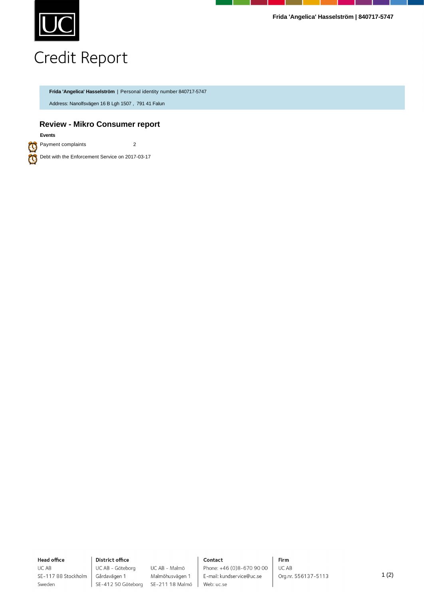

**Frida 'Angelica' Hasselström | 840717-5747**

## Credit Report

**Frida 'Angelica' Hasselström** | Personal identity number 840717-5747

Address: Nanolfsvägen 16 B Lgh 1507 , 791 41 Falun

## **Review - Mikro Consumer report**

**Events**

a  $\bm{\varpi}$  Payment complaints 2

Debt with the Enforcement Service on 2017-03-17

**Head office** UC AB

Sweden

SE-117 88 Stockholm

**District office** UC AB - Göteborg Gårdavägen 1

UC AB - Malmö Malmöhusvägen 1 SE-412 50 Göteborg SE-211 18 Malmö

### Contact

Phone: +46 (0)8-670 90 00 E-mail: kundservice@uc.se Web: uc.se

Firm UC AB Org.nr. 556137-5113